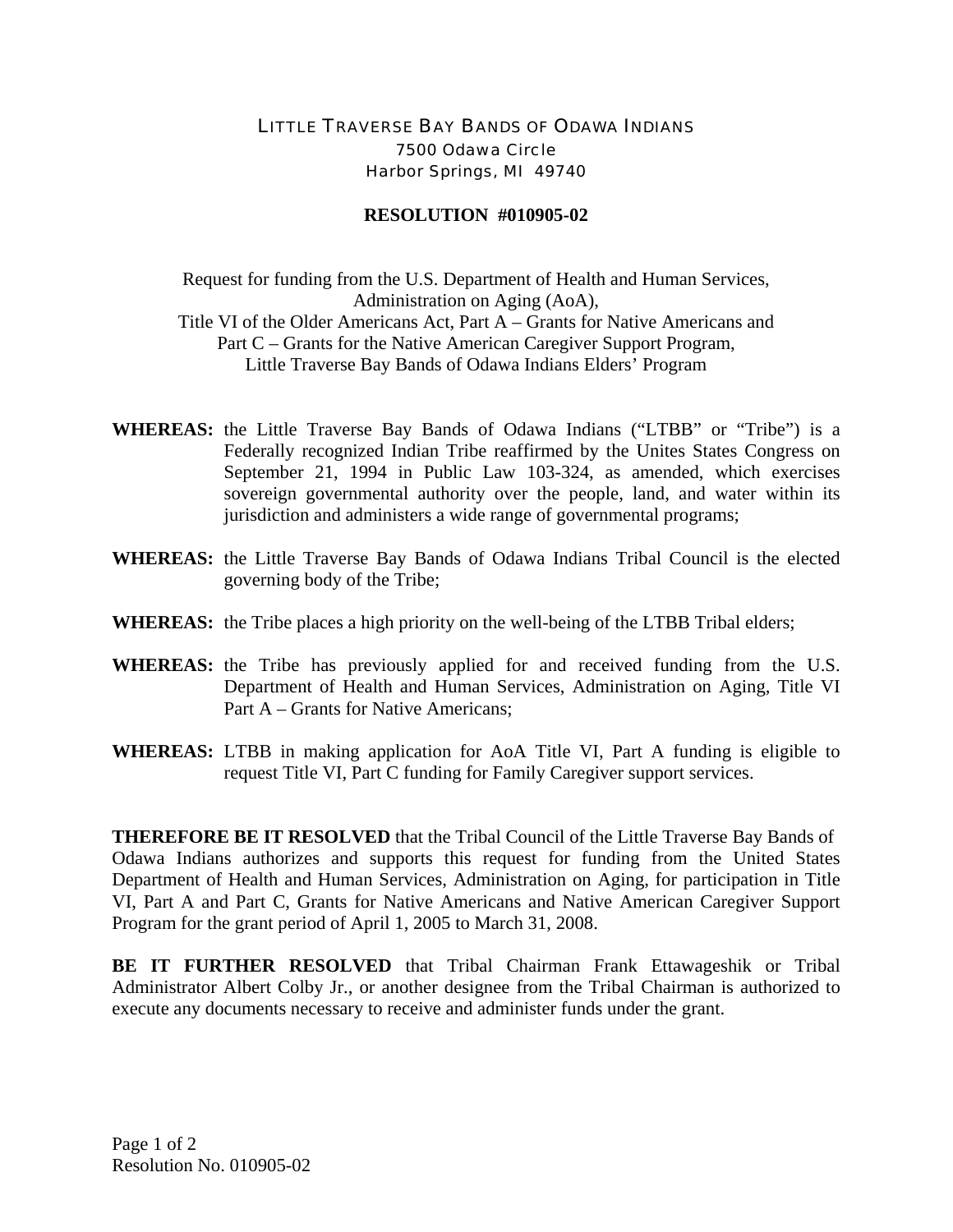## LITTLE TRAVERSE BAY BANDS OF ODAWA INDIANS 7500 Odawa Circle Harbor Springs, MI 49740

## **RESOLUTION #010905-02**

Request for funding from the U.S. Department of Health and Human Services, Administration on Aging (AoA), Title VI of the Older Americans Act, Part A – Grants for Native Americans and Part C – Grants for the Native American Caregiver Support Program, Little Traverse Bay Bands of Odawa Indians Elders' Program

- **WHEREAS:** the Little Traverse Bay Bands of Odawa Indians ("LTBB" or "Tribe") is a Federally recognized Indian Tribe reaffirmed by the Unites States Congress on September 21, 1994 in Public Law 103-324, as amended, which exercises sovereign governmental authority over the people, land, and water within its jurisdiction and administers a wide range of governmental programs;
- **WHEREAS:** the Little Traverse Bay Bands of Odawa Indians Tribal Council is the elected governing body of the Tribe;
- **WHEREAS:** the Tribe places a high priority on the well-being of the LTBB Tribal elders;
- **WHEREAS:** the Tribe has previously applied for and received funding from the U.S. Department of Health and Human Services, Administration on Aging, Title VI Part A – Grants for Native Americans;
- **WHEREAS:** LTBB in making application for AoA Title VI, Part A funding is eligible to request Title VI, Part C funding for Family Caregiver support services.

**THEREFORE BE IT RESOLVED** that the Tribal Council of the Little Traverse Bay Bands of Odawa Indians authorizes and supports this request for funding from the United States Department of Health and Human Services, Administration on Aging, for participation in Title VI, Part A and Part C, Grants for Native Americans and Native American Caregiver Support Program for the grant period of April 1, 2005 to March 31, 2008.

**BE IT FURTHER RESOLVED** that Tribal Chairman Frank Ettawageshik or Tribal Administrator Albert Colby Jr., or another designee from the Tribal Chairman is authorized to execute any documents necessary to receive and administer funds under the grant.